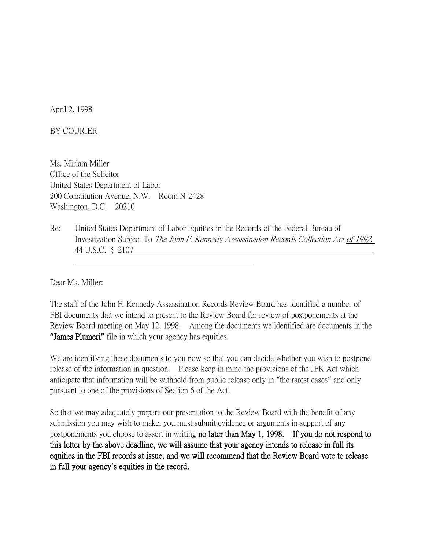April 2, 1998

## BY COURIER

Ms. Miriam Miller Office of the Solicitor United States Department of Labor 200 Constitution Avenue, N.W. Room N-2428 Washington, D.C. 20210

Re: United States Department of Labor Equities in the Records of the Federal Bureau of Investigation Subject To The John F. Kennedy Assassination Records Collection Act of 1992, 44 U.S.C. § 2107

Dear Ms. Miller:

The staff of the John F. Kennedy Assassination Records Review Board has identified a number of FBI documents that we intend to present to the Review Board for review of postponements at the Review Board meeting on May 12, 1998. Among the documents we identified are documents in the **"**James Plumeri**"** file in which your agency has equities.

We are identifying these documents to you now so that you can decide whether you wish to postpone release of the information in question. Please keep in mind the provisions of the JFK Act which anticipate that information will be withheld from public release only in "the rarest cases" and only pursuant to one of the provisions of Section 6 of the Act.

So that we may adequately prepare our presentation to the Review Board with the benefit of any submission you may wish to make, you must submit evidence or arguments in support of any postponements you choose to assert in writing no later than May 1, 1998. If you do not respond to this letter by the above deadline, we will assume that your agency intends to release in full its equities in the FBI records at issue, and we will recommend that the Review Board vote to release in full your agency**'**s equities in the record.